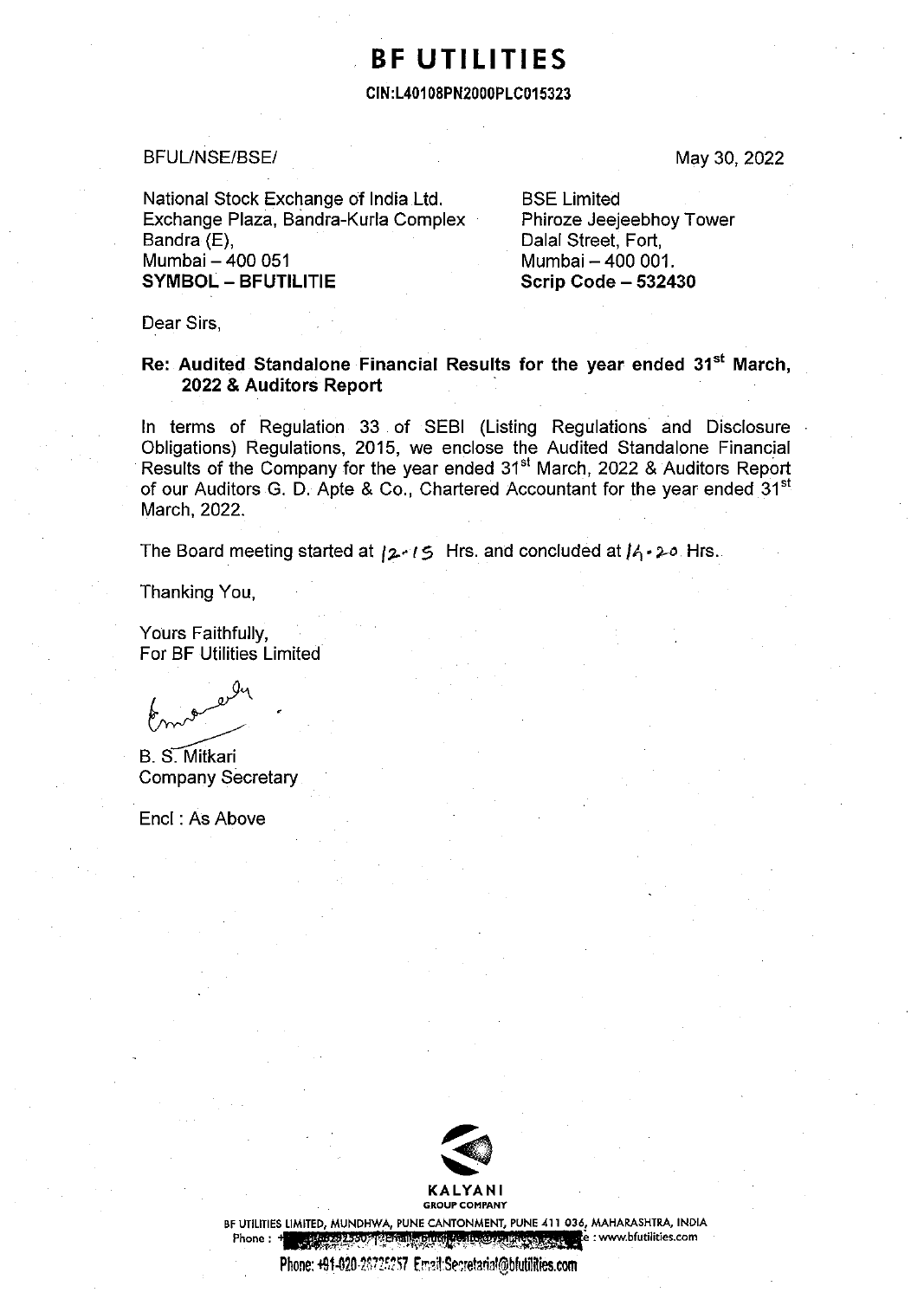# **BF UTILITIES**

## **CIN :L40108PN2000PLC015323**

BFUL/NSE/BSE/

May 30, 2022

National Stock Exchange of India Ltd. Exchange Plaza, Bandra-Kurla Complex Bandra (E), Mumbai - 400 051 **SYMBOL - BFUTILITIE** 

**BSE Limited** Phiroze Jeejeebhoy Tower Dalal Street, Fort, Mumbai - 400 001. **Scrip Code - 532430** 

Dear Sirs,

# **Re: Audited Standalone Financial Results for the year ended 31<sup>st</sup> March, 2022 & Auditors Report** ·

In terms of Regulation 33 of SEBI (Listing Regulations and Disclosure Obligations) Regulations, 2015, we enclose the Audited Standalone Financial Results of the Company for the year ended 31<sup>st</sup> March, 2022 & Auditors Report of our Auditors G. D. Apte & Co., Chartered Accountant for the year ended 31<sup>st</sup> March, 2022.

The Board meeting started at  $12 \cdot 15$  Hrs. and concluded at  $14 \cdot 20$  Hrs.

Thanking You,

Yours Faithfully, For BF Utilities Limited

ours Faithfully,<br>or BF Utilities Li<br>end and the set

**B. S. Mitkari** Company Secretary

Encl : As Above



&FUTILITIES LIMITED, MUNDHWA, PUNE CANTONMENT, PUNE 411 036, MAHARASHTRA, INDIA Phone :  $+$  *f*  $\frac{1}{2}$   $\frac{1}{2}$   $\frac{1}{2}$   $\frac{1}{2}$   $\frac{1}{2}$   $\frac{1}{2}$   $\frac{1}{2}$   $\frac{1}{2}$   $\frac{1}{2}$   $\frac{1}{2}$   $\frac{1}{2}$   $\frac{1}{2}$   $\frac{1}{2}$   $\frac{1}{2}$   $\frac{1}{2}$   $\frac{1}{2}$   $\frac{1}{2}$   $\frac{1}{2}$   $\frac{1}{2}$   $\frac{1}{2}$   $\frac{$ 

Phone: +91-020-26725257 Email:Secretarial@bfutilities.com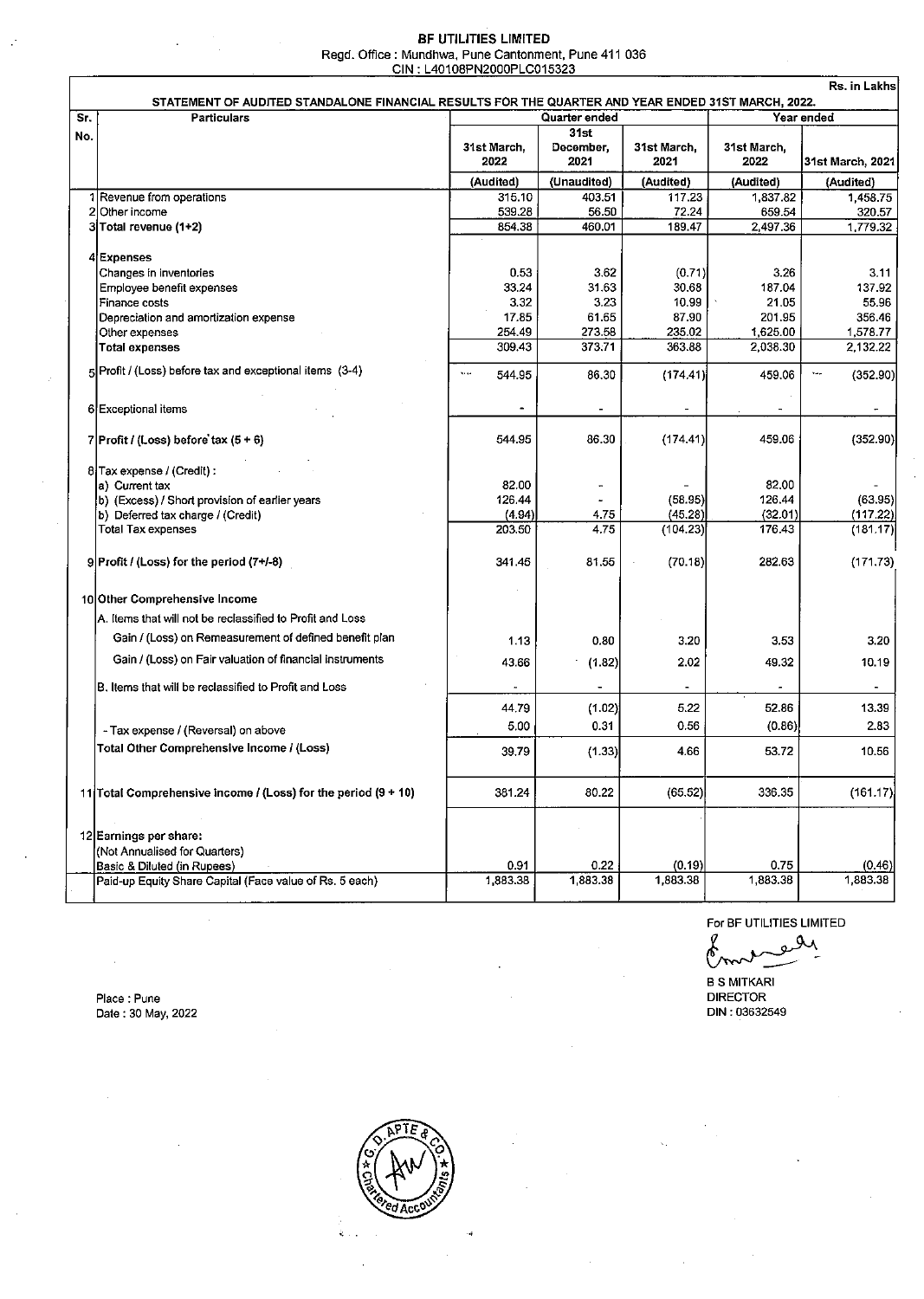#### **BF UTILITIES LIMITED Regd. Office: Mundhwa, Pune Cantonment, Pune 411 036**  CIN · L40108PN2000PLC015323

| Rs. in Lakhs<br>STATEMENT OF AUDITED STANDALONE FINANCIAL RESULTS FOR THE QUARTER AND YEAR ENDED 31ST MARCH, 2022. |                                                                  |                                       |                           |                     |                     |                  |
|--------------------------------------------------------------------------------------------------------------------|------------------------------------------------------------------|---------------------------------------|---------------------------|---------------------|---------------------|------------------|
| Sr.                                                                                                                | <b>Particulars</b>                                               | Quarter ended                         |                           |                     | Year ended          |                  |
| No.                                                                                                                |                                                                  | 31st March,<br>2022                   | 31st<br>December,<br>2021 | 31st March.<br>2021 | 31st March,<br>2022 | 31st March, 2021 |
|                                                                                                                    |                                                                  | (Audited)                             | (Unaudited)               | (Audited)           | (Audited)           | (Audited)        |
|                                                                                                                    | 1 Revenue from operations                                        | 315.10                                | 403.51                    | 117.23              | 1,837.82            | 1,458.75         |
|                                                                                                                    | Other income                                                     | 539.28                                | 56.50                     | 72.24               | 659.54              | 320.57           |
|                                                                                                                    | 3 Total revenue (1+2)                                            | 854.38                                | 460.01                    | 189.47              | 2,497.36            | 1,779.32         |
|                                                                                                                    | 4 Expenses                                                       |                                       |                           |                     |                     |                  |
|                                                                                                                    | Changes in inventories                                           | 0.53                                  | 3.62                      | (0.71)              | 3.26                | 3.11             |
|                                                                                                                    | Employee benefit expenses                                        | 33.24                                 | 31.63                     | 30.68               | 187.04              | 137.92           |
|                                                                                                                    | Finance costs                                                    | 3.32                                  | 3.23                      | 10.99               | 21.05               | 55.96            |
|                                                                                                                    | Depreciation and amortization expense                            | 17.85                                 | 61.65                     | 87.90               | 201.95              | 356.46           |
|                                                                                                                    | Other expenses                                                   | 254.49                                | 273.58                    | 235.02              | 1,625.00            | 1,578.77         |
|                                                                                                                    | Total expenses                                                   | 309.43                                | 373.71                    | 363.88              | 2,038.30            | 2,132.22         |
|                                                                                                                    | 5 Profit / (Loss) before tax and exceptional items (3-4)         | $\mathbf{w}$ , $\mathbf{z}$<br>544.95 | 86,30                     | (174.41)            | 459.06              | ω.,<br>(352.90)  |
|                                                                                                                    | 6 Exceptional items                                              | ۰                                     | $\blacksquare$            | $\overline{a}$      |                     | ۰                |
|                                                                                                                    | 7 Profit / (Loss) before tax $(5 + 6)$                           | 544.95                                | 86.30                     | (174.41)            | 459.06              | (352.90)         |
|                                                                                                                    | 8 Tax expense / (Credit) :                                       |                                       |                           |                     |                     |                  |
|                                                                                                                    | a) Current tax                                                   | 82.00                                 |                           |                     | 82.00               |                  |
|                                                                                                                    | b) (Excess) / Short provision of earlier years                   | 126.44                                |                           | (58.95)             | 126.44              | (63.95)          |
|                                                                                                                    | b) Deferred tax charge / (Credit)                                | (4.94)                                | 4.75                      | (45.28)             | (32.01)             | (117.22)         |
|                                                                                                                    | <b>Total Tax expenses</b>                                        | 203.50                                | 4.75                      | (104.23)            | 176.43              | (181.17)         |
|                                                                                                                    | 9 Profit / (Loss) for the period (7+/-8)                         | 341.45                                | 81.55                     | (70.18)             | 282.63              | (171.73)         |
|                                                                                                                    | 10 Other Comprehensive Income                                    |                                       |                           |                     |                     |                  |
|                                                                                                                    | A. Items that will not be reclassified to Profit and Loss        |                                       |                           |                     |                     |                  |
|                                                                                                                    | Gain / (Loss) on Remeasurement of defined benefit plan           | 1.13                                  | 0.80                      | 3.20                | 3.53                | 3.20             |
|                                                                                                                    | Gain / (Loss) on Fair valuation of financial instruments         | 43.66                                 | (1.82)                    | 2.02                | 49.32               | 10.19            |
|                                                                                                                    | B, Items that will be reclassified to Profit and Loss            | $\tilde{\phantom{a}}$                 |                           |                     |                     | $\blacksquare$   |
|                                                                                                                    |                                                                  | 44.79                                 | (1.02)                    | 5.22                | 52.86               | 13.39            |
|                                                                                                                    | - Tax expense / (Reversal) on above                              | 5.00                                  | 0.31                      | 0.56                | (0.86)              | 2.83             |
|                                                                                                                    | Total Other Comprehensive Income / (Loss)                        | 39.79                                 | (1.33)                    | 4.66                | 53.72               | 10.56            |
|                                                                                                                    | 11 Total Comprehensive income / (Loss) for the period $(9 + 10)$ | 381.24                                | 80.22                     | (65.52)             | 336.35              | (161.17)         |
|                                                                                                                    | 12 Earnings per share:                                           |                                       |                           |                     |                     |                  |
|                                                                                                                    | (Not Annualised for Quarters)                                    |                                       |                           |                     |                     |                  |
|                                                                                                                    | Basic & Diluted (in Rupees)                                      | 0.91                                  | 0.22                      | (0.19)              | 0.75                | (0.46)           |
|                                                                                                                    | Paid-up Equity Share Capital (Face value of Rs. 5 each)          | 1,883.38                              | 1,883.38                  | 1,883.38            | 1,883.38            | 1,883.38         |

**Place: Pune Date : 30 May, 2022** 

 $\overline{\phantom{a}}$ 

For BF UTILITIES LIMITED

بي C

BS MITKARI DIRECTOR DIN : 03632549

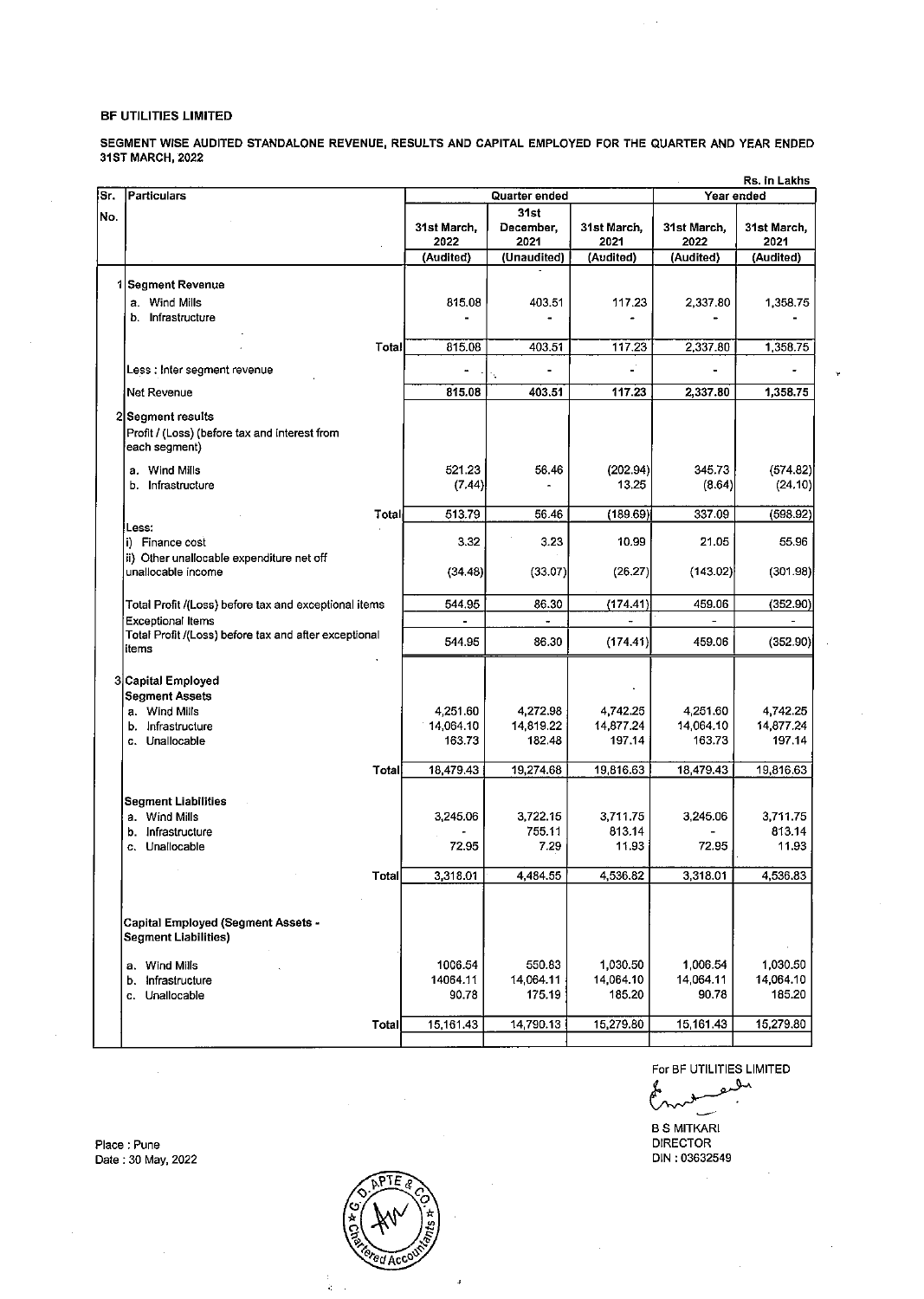### BF UTILITIES LIMITED

SEGMENT WISE AUDITED STANDALONE REVENUE, RESULTS AND CAPITAL EMPLOYED FOR THE QUARTER AND YEAR ENDED 31 ST MARCH, 2022

 $\frac{1}{2}$  ,  $\frac{1}{2}$ 

|     |                                                                                              | Rs. in Lakhs                    |                                 |                                  |                                 |                                 |
|-----|----------------------------------------------------------------------------------------------|---------------------------------|---------------------------------|----------------------------------|---------------------------------|---------------------------------|
| Sr. | Particulars                                                                                  | Year ended<br>Quarter ended     |                                 |                                  |                                 |                                 |
| No. |                                                                                              | 31st March,<br>2022             | 31st<br>December,<br>2021       | 31st March,<br>2021              | 31st March,<br>2022             | 31st March,<br>2021             |
|     |                                                                                              | (Audited)                       | (Unaudited)                     | (Audited)                        | (Audited)                       | (Audited)                       |
|     | 1 Segment Revenue<br>a. Wind Mills<br>b. Infrastructure                                      | 815.08                          | 403.51                          | 117.23                           | 2,337.80                        | 1,358.75                        |
|     | Totall                                                                                       | 815.08                          | 403.51                          | 117.23                           | 2,337.80                        | 1,358.75                        |
|     | Less : Inter segment revenue                                                                 |                                 |                                 | Ľ.                               |                                 |                                 |
|     | Net Revenue                                                                                  | 815.08                          | 403.51                          | 117.23                           | 2,337.80                        | 1,358.75                        |
|     | 2 Segment results<br>Profit / (Loss) (before tax and interest from<br>each segment)          |                                 |                                 |                                  |                                 |                                 |
|     | a. Wind Mills<br>b. Infrastructure                                                           | 521.23<br>(7.44)                | 56.46                           | (202.94)<br>13.25                | 345.73<br>(8.64)                | (574.82)<br>(24.10)             |
|     | Total                                                                                        | 513.79                          | 56.46                           | (189.69)                         | 337.09                          | (598.92)                        |
|     | Less:<br>i) Finance cost<br>ii) Other unallocable expenditure net off                        | 3.32                            | 3.23                            | 10.99                            | 21.05                           | 55.96                           |
|     | unallocable income                                                                           | (34.48)                         | (33.07)                         | (26.27)                          | (143.02)                        | (301.98)                        |
|     | Total Profit /(Loss) before tax and exceptional items                                        | 544.95                          | 86.30                           | (174.41)                         | 459.06                          | (352.90)                        |
|     | <b>Exceptional Items</b><br>Total Profit /(Loss) before tax and after exceptional<br>items   | ÷.<br>544.95                    | 86.30                           | $\ddot{\phantom{a}}$<br>(174.41) | 459.06                          | (352.90)                        |
|     | 3 Capital Employed<br>Segment Assets<br>a. Wind Mills<br>b. Infrastructure<br>c. Unallocable | 4.251.60<br>14,064.10<br>163.73 | 4.272.98<br>14.819.22<br>182.48 | 4,742.25<br>14,877.24<br>197.14  | 4,251.60<br>14,064.10<br>163.73 | 4,742.25<br>14,877.24<br>197.14 |
|     | Total                                                                                        | 18,479.43                       | 19.274.68                       | 19,816.63                        | 18,479.43                       | 19,816.63                       |
|     | <b>Segment Liabilities</b><br>a. Wind Mills<br>Infrastructure<br>b.<br>c. Unallocable        | 3,245.06<br>72.95               | 3,722.15<br>755.11<br>7.29      | 3.711.75<br>813.14<br>11.93      | 3.245.06<br>72.95               | 3,711.75<br>813.14<br>11.93     |
|     | Total                                                                                        | 3,318.01                        | 4,484.55                        | 4,536.82                         | 3,318.01                        | 4,536.83                        |
|     | Capital Employed (Segment Assets -<br><b>Segment Liabilities)</b>                            |                                 |                                 |                                  |                                 |                                 |
|     | a. Wind Mills<br>Infrastructure<br>b.<br>c. Unallocable                                      | 1006.54<br>14064.11<br>90.78    | 550.83<br>14,064.11<br>175.19   | 1,030.50<br>14,064.10<br>185.20  | 1,006.54<br>14,064.11<br>90.78  | 1,030.50<br>14,064.10<br>185.20 |
|     | Total                                                                                        | 15,161.43                       | 14,790.13                       | 15,279.80                        | 15,161.43                       | 15,279.80                       |
|     |                                                                                              |                                 |                                 |                                  |                                 |                                 |

For BF UTILITIES LIMITED

For BF UTILITIES LIMITED<br>
For BF UTILITIES LIMITED<br>
A<br>
B S MITKARI

**DIRECTOR** DIN : 03632549

**Place: Pune Date** : 30 **May, 2022** 



 $\cdot$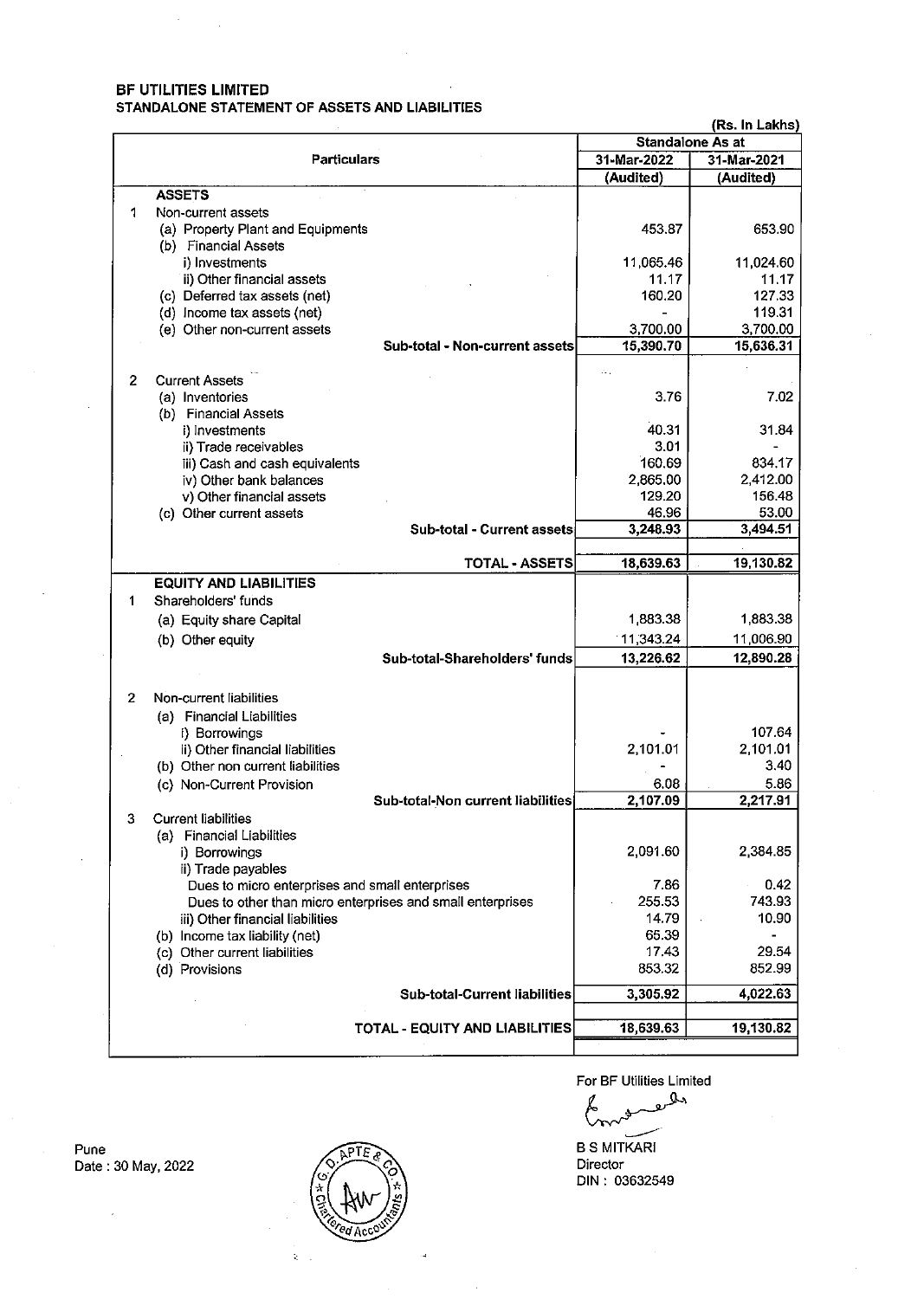### **BF UTILITIES LIMITED STANDALONE STATEMENT OF ASSETS AND LIABILITIES**

 $\mathcal{F}^{\text{max}}_{\text{max}}$ 

|   |                                                            |                         | (Rs. In Lakhs) |  |
|---|------------------------------------------------------------|-------------------------|----------------|--|
|   |                                                            | <b>Standalone As at</b> |                |  |
|   | <b>Particulars</b>                                         | 31-Mar-2022             | 31-Mar-2021    |  |
|   |                                                            | (Audited)               | (Audited)      |  |
|   | <b>ASSETS</b>                                              |                         |                |  |
| 1 | Non-current assets                                         |                         |                |  |
|   | (a) Property Plant and Equipments                          | 453.87                  | 653.90         |  |
|   | (b) Financial Assets                                       |                         |                |  |
|   | i) Investments                                             | 11.065.46               | 11,024.60      |  |
|   | ii) Other financial assets                                 | 11.17                   | 11.17          |  |
|   | (c) Deferred tax assets (net)                              | 160.20                  | 127.33         |  |
|   | (d) Income tax assets (net)                                |                         | 119.31         |  |
|   | (e) Other non-current assets                               | 3,700.00                | 3,700.00       |  |
|   | Sub-total - Non-current assets                             | 15,390.70               | 15,636.31      |  |
|   |                                                            |                         |                |  |
| 2 | <b>Current Assets</b>                                      | A.                      |                |  |
|   | (a) Inventories                                            | 3.76                    | 7.02           |  |
|   | (b) Financial Assets                                       |                         |                |  |
|   | i) Investments                                             | 40.31                   | 31.84          |  |
|   | ii) Trade receivables                                      | 3.01                    |                |  |
|   | iii) Cash and cash equivalents                             | 160.69                  | 834.17         |  |
|   | iv) Other bank balances                                    | 2,865.00                | 2,412.00       |  |
|   | v) Other financial assets                                  | 129.20                  | 156.48         |  |
|   | (c) Other current assets                                   | 46.96                   | 53.00          |  |
|   | Sub-total - Current assets                                 | 3,248.93                | 3,494.51       |  |
|   |                                                            |                         |                |  |
|   | <b>TOTAL - ASSETS</b>                                      | 18,639.63               | 19,130.82      |  |
|   | <b>EQUITY AND LIABILITIES</b>                              |                         |                |  |
| 1 | Shareholders' funds                                        |                         |                |  |
|   | (a) Equity share Capital                                   | 1,883.38                | 1,883.38       |  |
|   | (b) Other equity                                           | 11,343.24               | 11,006.90      |  |
|   |                                                            |                         |                |  |
|   | Sub-total-Shareholders' funds                              | 13,226.62               | 12,890.28      |  |
|   |                                                            |                         |                |  |
| 2 | Non-current liabilities                                    |                         |                |  |
|   | (a) Financial Liabilities                                  |                         |                |  |
|   | i) Borrowings                                              |                         | 107.64         |  |
|   | ii) Other financial liabilities                            | 2,101.01                | 2,101.01       |  |
|   | (b) Other non current liabilities                          |                         | 3,40           |  |
|   | (c) Non-Current Provision                                  | 6.08                    | 5.86           |  |
|   | Sub-total-Non current liabilities                          | 2,107.09                | 2,217.91       |  |
| 3 | <b>Current liabilities</b>                                 |                         |                |  |
|   | (a) Financial Liabilities                                  |                         |                |  |
|   | i) Borrowings                                              | 2,091.60                | 2,384.85       |  |
|   | ii) Trade payables                                         |                         |                |  |
|   | Dues to micro enterprises and small enterprises            | 7.86                    | 0.42           |  |
|   | Dues to other than micro enterprises and small enterprises | 255.53                  | 743.93         |  |
|   | iii) Other financial liabilities                           | 14.79                   | 10.90          |  |
|   | (b) Income tax liability (net)                             | 65.39                   |                |  |
|   | (c) Other current liabilities                              | 17.43                   | 29.54          |  |
|   | (d) Provisions                                             | 853.32                  | 852.99         |  |
|   |                                                            |                         |                |  |
|   | <b>Sub-total-Current liabilities</b>                       | 3,305.92                | 4,022.63       |  |
|   |                                                            |                         |                |  |
|   | TOTAL - EQUITY AND LIABILITIES                             | 18,639.63               | 19,130.82      |  |
|   |                                                            |                         |                |  |

For BF Utilities Limited

For BF Utilities Limited<br>  $\begin{pmatrix} 1 & 0 & 0 \\ 0 & 0 & 0 \\ 0 & 0 & 0 \end{pmatrix}$ <br>
BS MITKARI

**Director**  DIN : 03632549

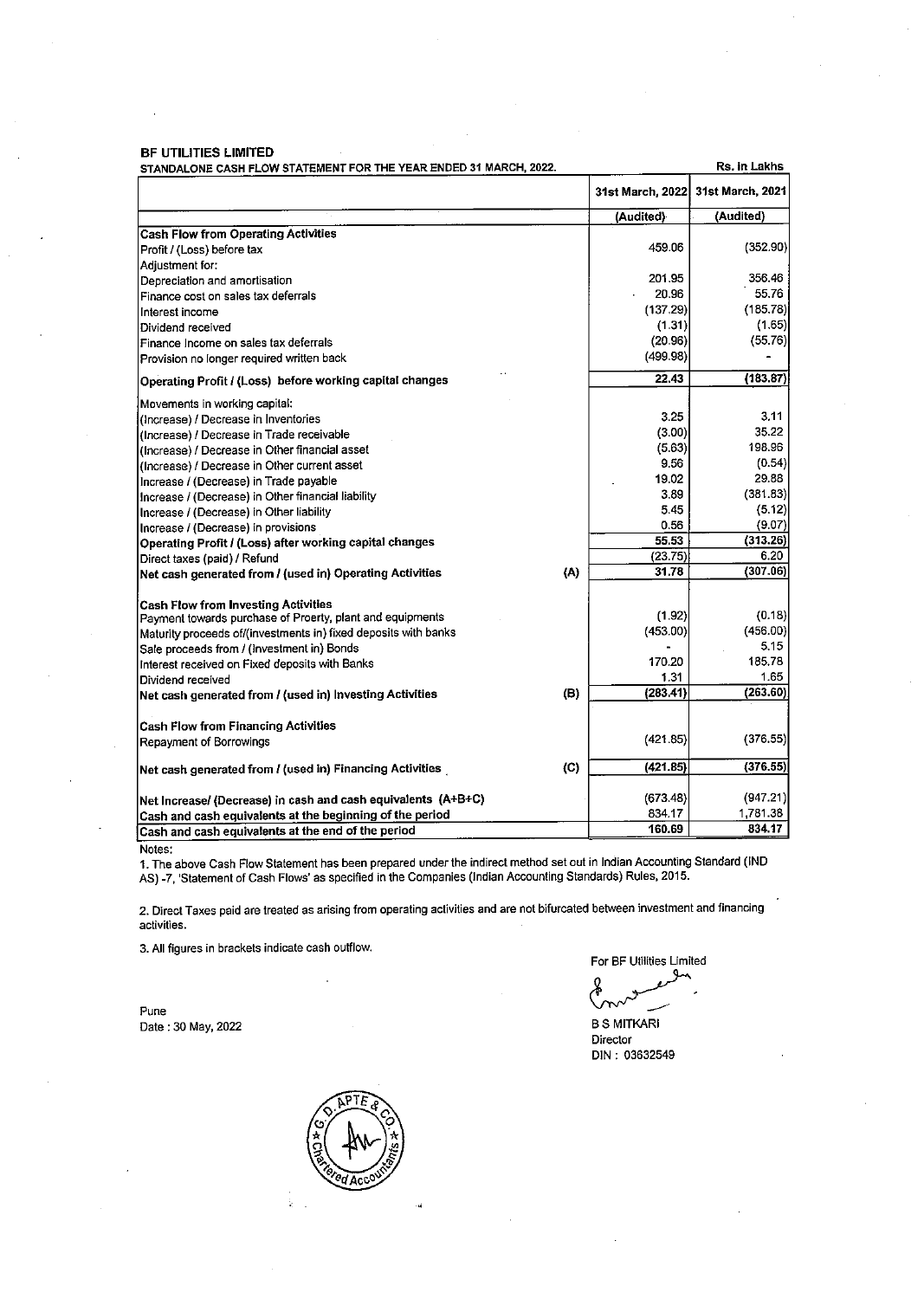### **BF UTILITIES LIMITED**

| STANDALONE CASH FLOW STATEMENT FOR THE YEAR ENDED 31 MARCH, 2022. |     |                  | Rs. in Lakhs     |
|-------------------------------------------------------------------|-----|------------------|------------------|
|                                                                   |     | 31st March, 2022 | 31st March, 2021 |
|                                                                   |     | (Audited)        | (Audited)        |
| <b>Cash Flow from Operating Activities</b>                        |     |                  |                  |
| Profit / (Loss) before tax                                        |     | 459.06           | (352.90)         |
| Adjustment for:                                                   |     |                  |                  |
| Depreciation and amortisation                                     |     | 201.95           | 356.46           |
| Finance cost on sales tax deferrals                               |     | 20.96            | 55.76            |
| Interest income                                                   |     | (137.29)         | (185.78)         |
| Dividend received                                                 |     | (1.31)           | (1.65)           |
| Finance Income on sales tax deferrals                             |     | (20.96)          | (55.76)          |
| Provision no longer required written back                         |     | (499.98)         |                  |
| Operating Profit / (Loss) before working capital changes          |     | 22.43            | (183.87)         |
| Movements in working capital:                                     |     |                  |                  |
| (Increase) / Decrease in Inventories                              |     | 3.25             | 3.11             |
| (Increase) / Decrease in Trade receivable                         |     | (3.00)           | 35.22            |
| (Increase) / Decrease in Other financial asset                    |     | (5.63)           | 198.96           |
| (Increase) / Decrease in Other current asset                      |     | 9.56             | (0.54)           |
| Increase / (Decrease) in Trade payable                            |     | 19.02            | 29.88            |
| Increase / (Decrease) in Other financial liability                |     | 3.89             | (381.83)         |
| Increase / (Decrease) in Other liability                          |     | 5.45             | (5.12)           |
| Increase / (Decrease) in provisions                               |     | 0.56             | (9.07)           |
| Operating Profit / (Loss) after working capital changes           |     | 55.53            | (313.26)         |
| Direct taxes (paid) / Refund                                      |     | (23.75)          | 6.20             |
| Net cash generated from / (used in) Operating Activities          | (A) | 31.78            | (307.06)         |
| <b>Cash Flow from Investing Activities</b>                        |     |                  |                  |
| Payment towards purchase of Proerty, plant and equipments         |     | (1.92)           | (0.18)           |
| Maturity proceeds of/(investments in) fixed deposits with banks   |     | (453.00)         | (456.00)         |
| Sale proceeds from / (Investment in) Bonds                        |     |                  | 5.15             |
| Interest received on Fixed deposits with Banks                    |     | 170.20           | 185.78           |
| Dividend received                                                 |     | 1.31             | 1.65             |
| Net cash generated from / (used in) Investing Activities          | (B) | (283.41)         | (263.60)         |
| <b>Cash Flow from Financing Activities</b>                        |     |                  |                  |
| Repayment of Borrowings                                           |     | (421.85)         | (376.55)         |
|                                                                   |     |                  |                  |
| Net cash generated from / (used in) Financing Activities          | (C) | (421.85)         | (376.55)         |
| Net Increase/ (Decrease) in cash and cash equivalents (A+B+C)     |     | (673.48)         | (947.21)         |
| Cash and cash equivalents at the beginning of the period          |     | 834.17           | 1,781.38         |
| Cash and cash equivalents at the end of the period                |     | 160.69           | 834.17           |

Notes:

1. The above Cash Flow Statement has been prepared under the indirect method set out in Indian Accounting Standard (IND AS) -7, 'Statement of Cash Flows' as specified in the Companies (Indian Accounting Standards) Rules, 2015.

2. Direct Taxes paid are treated as arising from operating activities and are not bifurcated between investment and financing activities.

3. All figures in brackets indicate cash outflow.

Pune Date : 30 May, 2022

For BF Utilities Limited For BF Utilities Limited<br>
8<br>
B S MITKARI

BS MITKARI Director DIN : 03632549

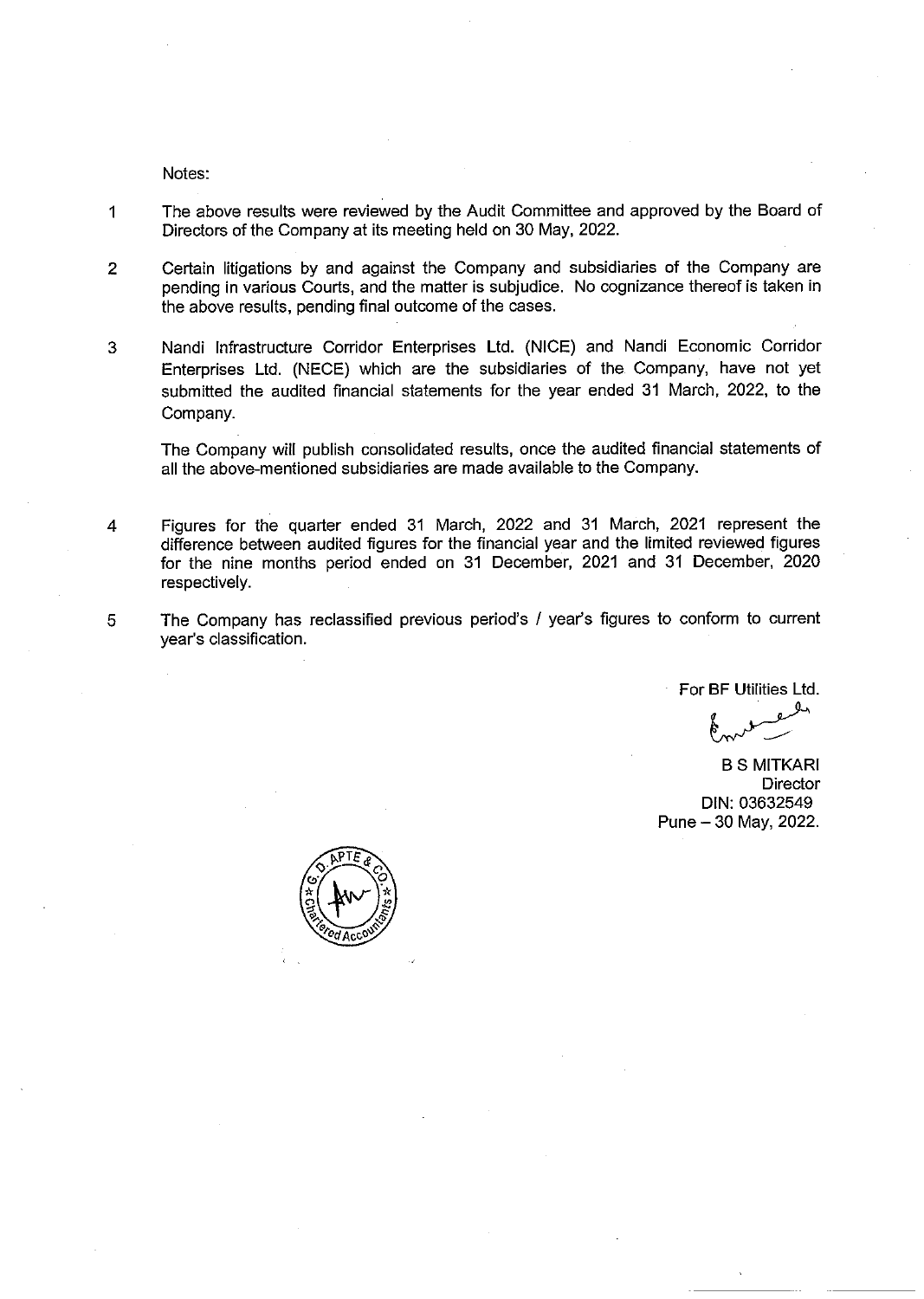Notes:

- 1 The above results were reviewed by the Audit Committee and approved by the Board of Directors of the Company at its meeting held on 30 May, 2022.
- 2 Certain litigations by and against the Company and subsidiaries of the Company are pending in various Courts, and the matter is subjudice. No cognizance thereof is taken in the above results, pending final outcome of the cases.
- 3 Nandi Infrastructure Corridor Enterprises Ltd. {NICE) and Nandi Economic Corridor Enterprises Ltd. (NECE) which are the subsidiaries of the Company, have not yet submitted the audited financial statements for the year ended 31 March, 2022, to the Company.

The Company will publish consolidated results, once the audited financial statements of all the above-mentioned subsidiaries are made available to the Company.

- 4 Figures for the quarter ended 31 March, 2022 and 31 March, 2021 represent the difference between audited figures for the financial year and the limited reviewed figures for the nine months period ended on 31 December, 2021 and 31 December, 2020 respectively.
- 5 The Company has reclassified previous period's / year's figures to conform to current year's classification.

For BF Utilities Ltd.

BF Utilities Ltd.<br>Environmental<br>BS MITKARI

**Director** DIN: 03632549 Pune - 30 May, 2022.

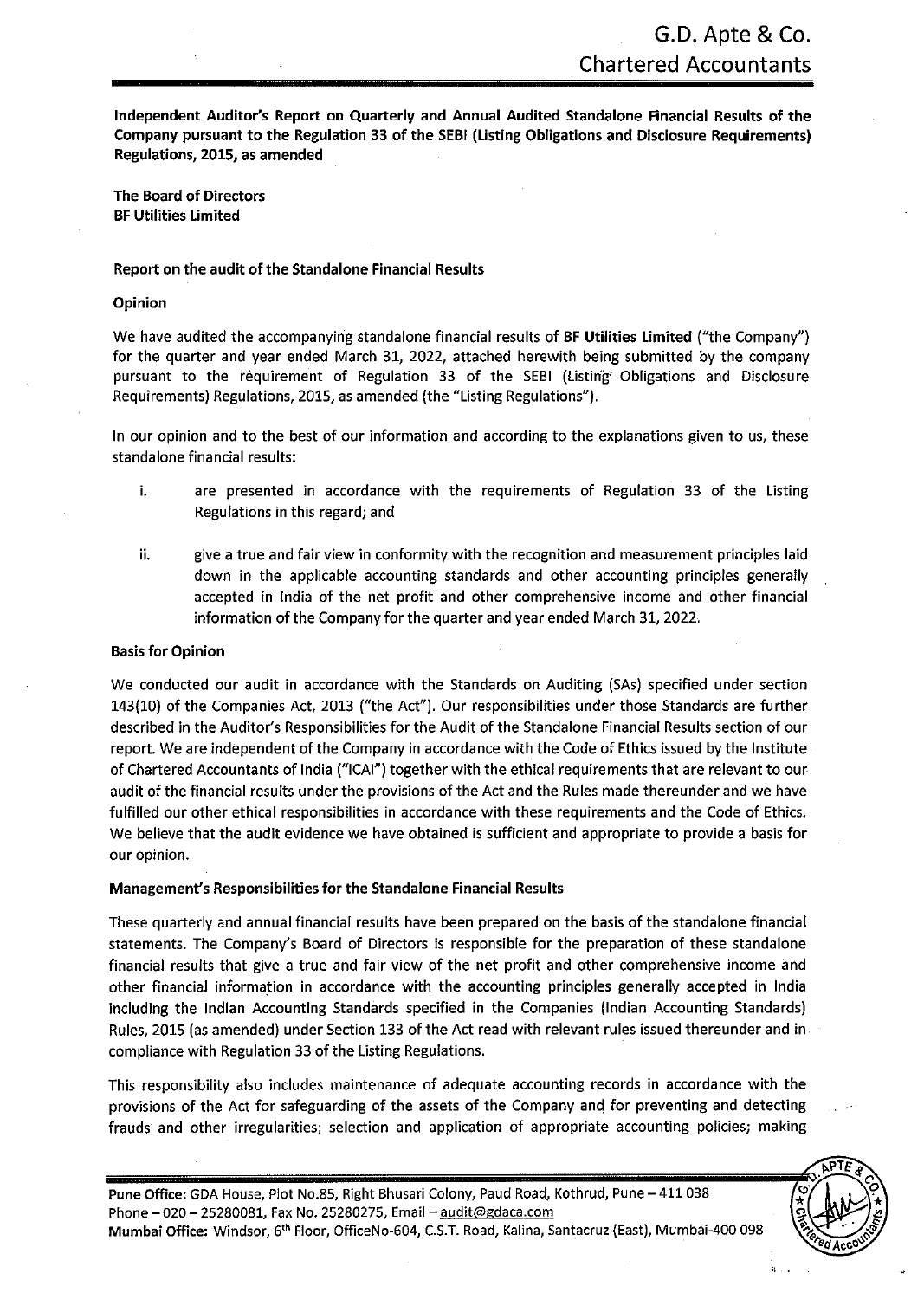Independent Auditor's Report on Quarterly and Annual Audited Standalone Financial Results of the Company pursuant to the Regulation 33 of the SEBI (Listing Obligations and Disclosure Requirements) Regulations, 2015, as amended

**The Board of Directors BF Utilities Limited** 

### **Report on the audit of the Standalone Financial Results**

### **Opinion**

We have audited the accompanying standalone financial results of **BF Utilities Limited** ("the Company") for the quarter and year ended March 31, 2022, attached herewith being submitted by the company pursuant to the requirement of Regulation 33 of the SEBI (Listing Obligations and Disclosure Requirements) Regulations, 2015, as amended (the "Listing Regulations").

In our opinion and to the best of our information and according to the explanations given to us, these standalone financial results:

- i. are presented in accordance with the requirements of Regulation 33 of the Listing Regulations in this regard; and
- ii. give a true and fair view in conformity with the recognition and measurement principles laid down in the applicable accounting standards and other accounting principles generally accepted in India of the net profit and other comprehensive income and other financial information of the Company for the quarter and year ended March 31, 2022.

### **Basis for Opinion**

We conducted our audit in accordance with the Standards on Auditing (SAs) specified under section 143(10) of the Companies Act, 2013 ("the Act"). Our responsibilities under those Standards are further described in the Auditor's Responsibilities for the Audit of the Standalone Financial Results section of our report. We are independent of the Company in accordance with the Code of Ethics issued by the Institute of Chartered Accountants of India ("ICAI'') together with the ethical requirements that are relevant to our audit of the financial results under the provisions of the Act and the Rules made thereunder and we have fulfilled our other ethical responsibilities in accordance with these requirements and the Code of Ethics. We believe that the audit evidence we have obtained is sufficient and appropriate to provide a basis for our opinion.

### **Management's Responsibilities for the Standalone Financial Results**

These quarterly and annual financial results have been prepared on the basis of the standalone financial statements. The Company's Board of Directors is responsible for the preparation of these standalone financial results that give a true and fair view of the net profit and other comprehensive income and other financial information in accordance with the accounting principles generally accepted in India including the Indian Accounting Standards specified in the Companies (Indian Accounting Standards) Rules, 2015 (as amended) under Section 133 of the Act read with relevant rules issued thereunder and in compliance with Regulation 33 of the Listing Regulations.

This responsibility also includes maintenance of adequate accounting records in accordance with the provisions of the Act for safeguarding of the assets of the Company and for preventing and detecting frauds and other irregularities; selection and application of appropriate accounting policies; making

Pune Office: GDA House, Plot No.85, Right Bhusari Colony, Paud Road, Kothrud, Pune - 411 038 Phone - 020 - 25280081, Fax No. 25280275, Email - audit@gdaca.com Mumbai Office: Windsor, 6th Floor, OfficeNo-604, C.S.T. Road, Kalina, Santacruz (East), Mumbai-400 098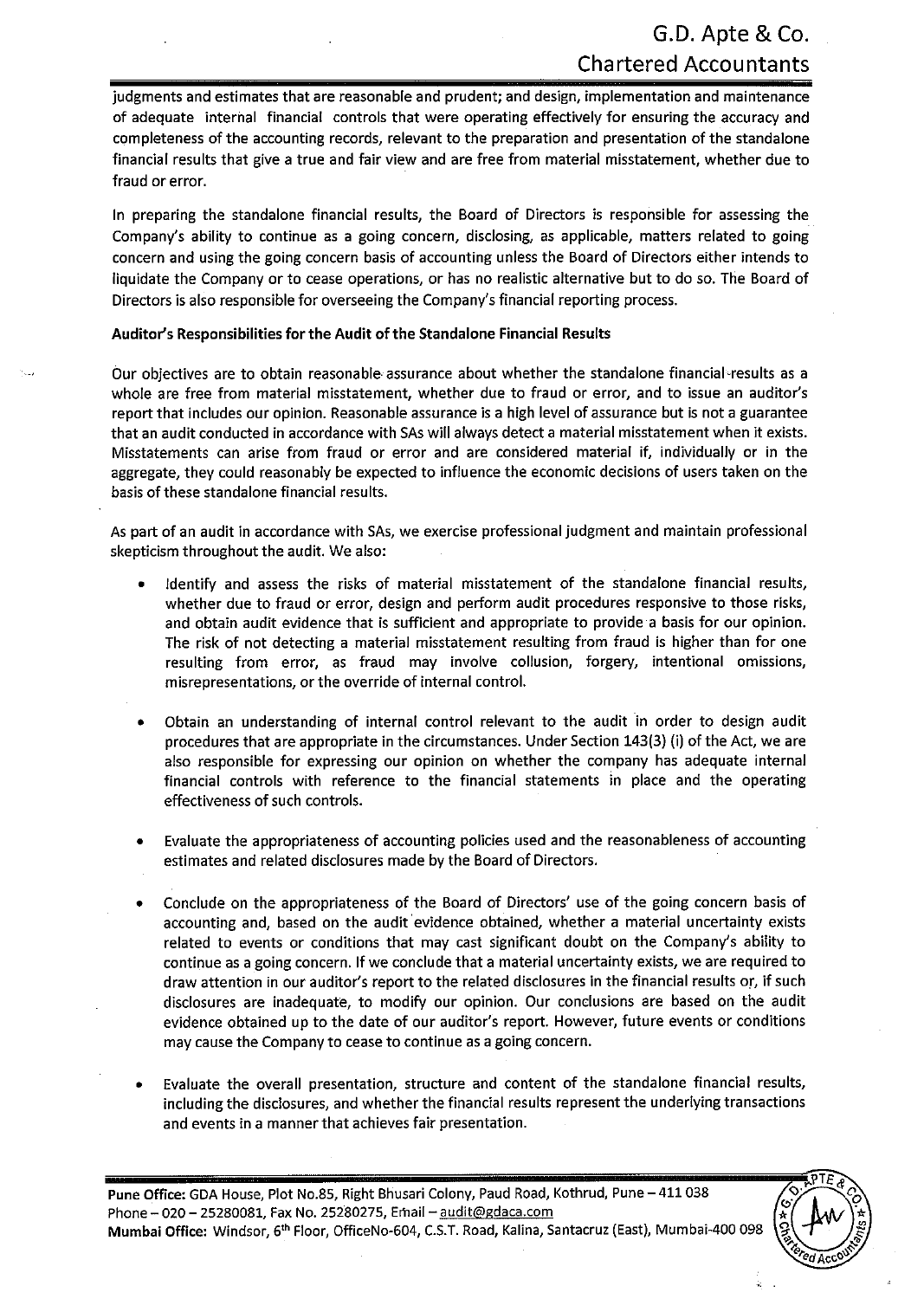# G.D. Apte & Co. Chartered Accountants

judgments and estimates that are reasonable and prudent; and design, implementation and maintenance of adequate internal financial controls that were operating effectively for ensuring the accuracy and completeness of the accounting records, relevant to the preparation and presentation of the standalone financial results that give a true and fair view and are free from material misstatement, whether due to fraud or error.

In preparing the standalone financial results, the Board of Directors is responsible for assessing the Company's ability to continue as **a** going concern, disclosing, as applicable, matters related to going concern and using the going concern basis of accounting unless the Board of Directors either intends to liquidate the Company or to cease operations, or has no realistic alternative but to do so. The Board of Directors is also responsible for overseeing the Company's financial reporting process.

### **Auditor's Responsibilities for the Audit of the Standalone Financial Results**

Our objectives are to obtain reasonable assurance about whether the standalone financial results as a whole are free from material misstatement, whether due to fraud or error, and to issue an auditor's report that includes our opinion. Reasonable assurance is a high level of assurance but is not a guarantee that an audit conducted in accordance with SAs will always detect a material misstatement when it exists. Misstatements can arise from fraud or error and are considered material if, individually or in the aggregate, they could reasonably be expected to influence the economic decisions of users taken on the basis of these standalone financial results.

As part of an audit in accordance with SAs, we exercise professional judgment and maintain professional skepticism throughout the audit. We also:

- Identify and assess the risks of material misstatement of the standalone financial results, whether due to fraud or error, design and perform audit procedures responsive to those risks, and obtain audit evidence that is sufficient and appropriate to provide a basis for our opinion. The risk of not detecting a material misstatement resulting from fraud is higher than for one resulting from error, as fraud may involve collusion, forgery, intentional omissions, misrepresentations, or the override of internal control.
- Obtain an understanding of internal control relevant to the audit in order to design audit procedures that are appropriate in the circumstances. Under Section 143(3) (i) of the Act, we are also responsible for expressing our opinion on whether the company has adequate internal financial controls with reference to the financial statements in place and the operating effectiveness of such controls.
- Evaluate the appropriateness of accounting policies used and the reasonableness of accounting estimates and related disclosures made by the Board of Directors.
- Conclude on the appropriateness of the Board of Directors' use of the going concern basis of accounting and, based on the audit evidence obtained, whether a material uncertainty exists related to events or conditions that may cast significant doubt on the Company's ability to continue as a going concern. If we conclude that a material uncertainty exists, we are required to draw attention in our auditor's report to the related disclosures in the financial results *or,* if such disclosures are inadequate, to modify our opinion. Our conclusions are based on the audit evidence obtained up to the date of our auditor's report. However, future events or conditions may cause the Company to cease to continue as a going concern.
- Evaluate the overall presentation, structure and content of the standalone financial results, including the disclosures, and whether the financial results represent the underlying transactions and events in a manner that achieves fair presentation.

Pune Office: GDA House, Plot No.85, Right Bhusari Colony, Paud Road, Kothrud, Pune-411 038 Phone - 020 - 25280081, Fax No. 25280275, Email - audit@gdaca.com Mumbai Office: Windsor, 6<sup>th</sup> Floor, OfficeNo-604, C.S.T. Road, Kalina, Santacruz (East), Mumbai-400 098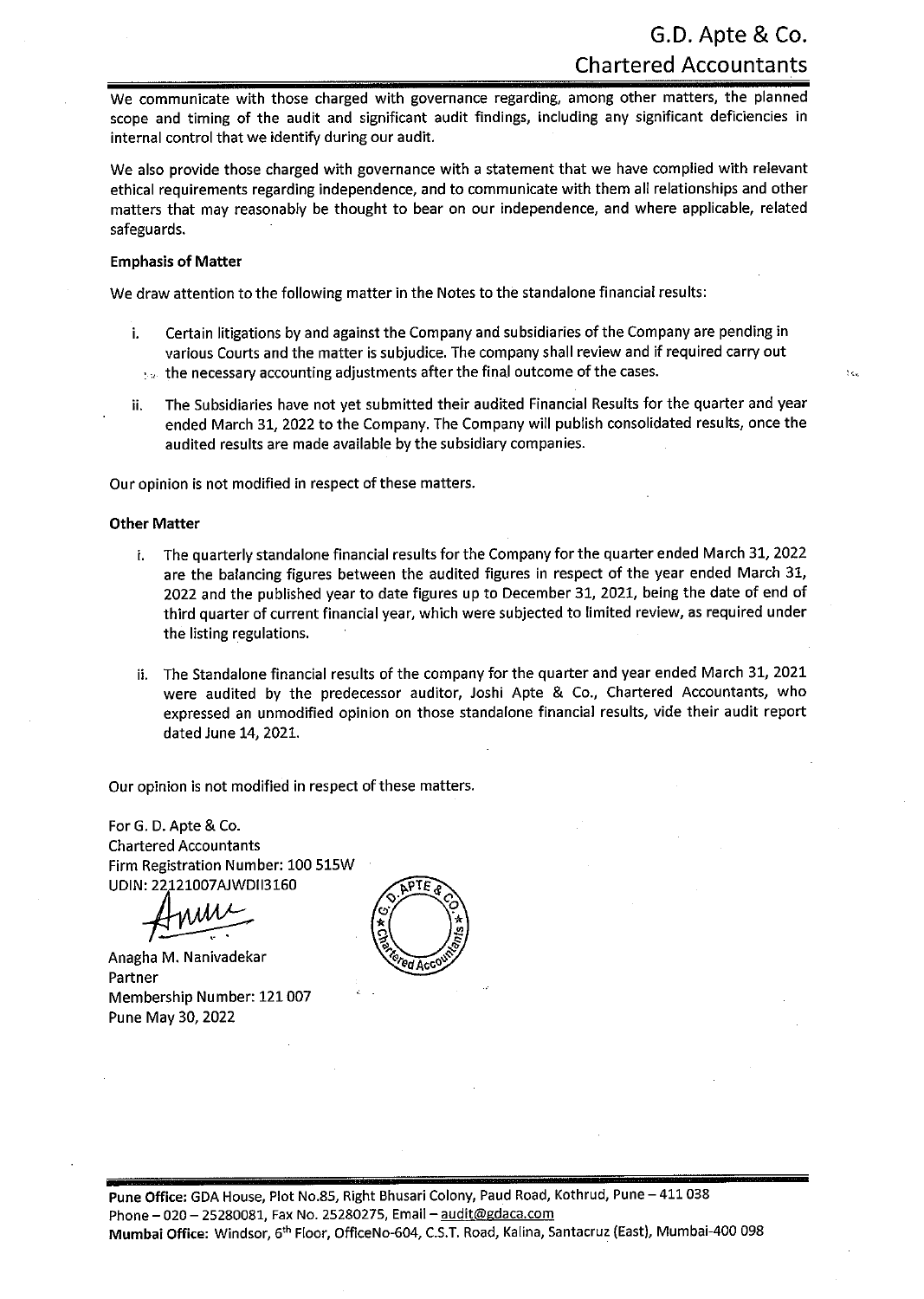We communicate with those charged with governance regarding, among other matters, the planned scope and timing of the audit and significant audit findings, including any significant deficiencies in internal control that we identify during our audit.

We also provide those charged with governance with a statement that we have complied with relevant ethical requirements regarding independence, and to communicate with them all relationships and other matters that may reasonably be thought to bear on our independence, and where applicable, related safeguards.

### **Emphasis of Matter**

We draw attention to the following matter in the Notes to the standalone financial results:

- i. Certain litigations by and against the Company and subsidiaries of the Company are pending in various Courts and the matter is subjudice. The company shall review and if required carry out the necessary accounting adjustments after the final outcome of the cases.
- ii. The Subsidiaries have not yet submitted their audited Financial Results for the quarter and year ended March 31, 2022 to the Company. The Company will publish consolidated results, once the audited results are made available by the subsidiary companies.

Our opinion is not modified in respect of these matters.

#### **Other Matter**

- i. The quarterly standalone financial results for the Company for the quarter ended March 31, 2022 are the balancing figures between the audited figures in respect of the year ended March 31, 2022 and the published year to date figures up to December 31, 2021, being the date of end of third quarter of current financial year, which were subjected to limited review, as required under the listing regulations.
- ii. The Standalone financial results of the company for the quarter and year ended March 31, 2021 were audited by the predecessor auditor, Joshi Apte & Co., Chartered Accountants, who expressed an unmodified opinion on those standalone financial results, vide their audit report dated June 14, 2021.

Our opinion is not modified in respect of these matters.

For G. D. Apte & Co. Chartered Accountants Firm Registration Number: 100 515W<br>UDIN: 22121007AJWDII3160<br>Anagha M. Nanivadekar UDIN: 22121007AJWUNS160

1

Anagha M. Nanivadekar Partner Membership Number: 121007 Pune May 30, 2022

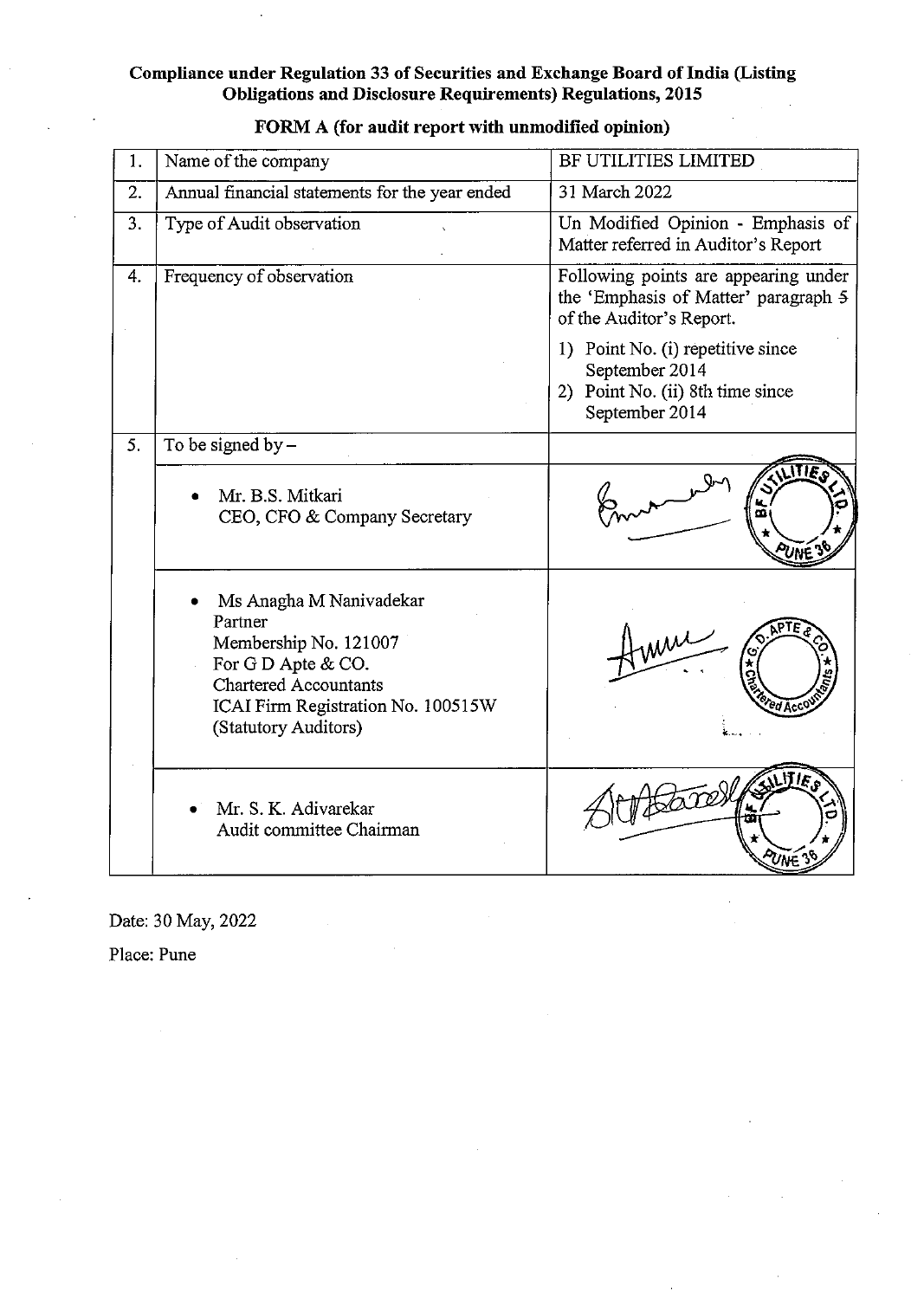# **Compliance under Regulation 33 of Securities and Exchange Board of India (Listing Obligations and Disclosure Requirements) Regulations, 2015**

| 1. | Name of the company                                                                                                                                                             | BF UTILITIES LIMITED                                                                                      |
|----|---------------------------------------------------------------------------------------------------------------------------------------------------------------------------------|-----------------------------------------------------------------------------------------------------------|
| 2. | Annual financial statements for the year ended                                                                                                                                  | 31 March 2022                                                                                             |
| 3. | Type of Audit observation                                                                                                                                                       | Un Modified Opinion - Emphasis of<br>Matter referred in Auditor's Report                                  |
| 4. | Frequency of observation                                                                                                                                                        | Following points are appearing under<br>the 'Emphasis of Matter' paragraph 5<br>of the Auditor's Report.  |
|    |                                                                                                                                                                                 | 1) Point No. (i) repetitive since<br>September 2014<br>2) Point No. (ii) 8th time since<br>September 2014 |
| 5. | To be signed by $-$                                                                                                                                                             |                                                                                                           |
|    | Mr. B.S. Mitkari<br>CEO, CFO & Company Secretary                                                                                                                                |                                                                                                           |
|    | Ms Anagha M Nanivadekar<br>Partner<br>Membership No. 121007<br>For G D Apte & CO.<br><b>Chartered Accountants</b><br>ICAI Firm Registration No. 100515W<br>(Statutory Auditors) |                                                                                                           |
|    | Mr. S. K. Adivarekar<br>Audit committee Chairman                                                                                                                                |                                                                                                           |

# **FORM A (for audit report with unmodified opinion)**

Date: 30 May, 2022

Place: Pune